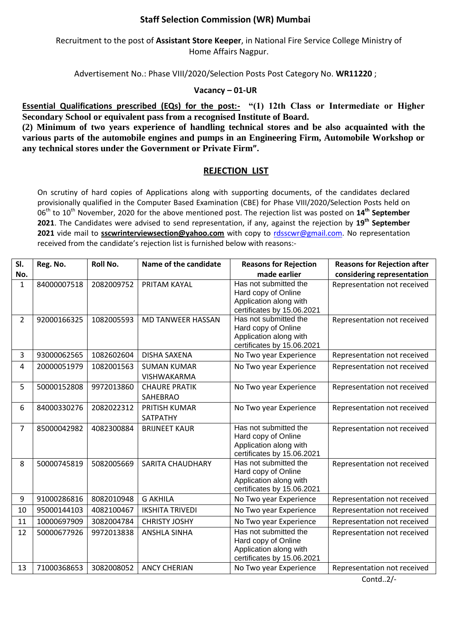## **Staff Selection Commission (WR) Mumbai**

Recruitment to the post of **Assistant Store Keeper**, in National Fire Service College Ministry of Home Affairs Nagpur.

Advertisement No.: Phase VIII/2020/Selection Posts Post Category No. **WR11220** ;

## **Vacancy – 01-UR**

**Essential Qualifications prescribed (EQs) for the post:-** "(1) 12th Class or Intermediate or Higher **Secondary School or equivalent pass from a recognised Institute of Board.**

**(2) Minimum of two years experience of handling technical stores and be also acquainted with the various parts of the automobile engines and pumps in an Engineering Firm, Automobile Workshop or any technical stores under the Government or Private Firm".**

## **REJECTION LIST**

On scrutiny of hard copies of Applications along with supporting documents, of the candidates declared provisionally qualified in the Computer Based Examination (CBE) for Phase VIII/2020/Selection Posts held on 06th to 10th November, 2020 for the above mentioned post. The rejection list was posted on **14th September 2021**. The Candidates were advised to send representation, if any, against the rejection by **19 th September** 2021 vide mail to **sscwrinterviewsection@yahoo.com** with copy to [rdsscwr@gmail.com.](mailto:rdsscwr@gmail.com) No representation received from the candidate's rejection list is furnished below with reasons:-

| SI.            | Reg. No.    | <b>Roll No.</b> | Name of the candidate             | <b>Reasons for Rejection</b>                                                                         | <b>Reasons for Rejection after</b> |
|----------------|-------------|-----------------|-----------------------------------|------------------------------------------------------------------------------------------------------|------------------------------------|
| No.            |             |                 |                                   | made earlier                                                                                         | considering representation         |
| $\mathbf{1}$   | 84000007518 | 2082009752      | PRITAM KAYAL                      | Has not submitted the<br>Hard copy of Online<br>Application along with<br>certificates by 15.06.2021 | Representation not received        |
| $\overline{2}$ | 92000166325 | 1082005593      | <b>MD TANWEER HASSAN</b>          | Has not submitted the<br>Hard copy of Online<br>Application along with<br>certificates by 15.06.2021 | Representation not received        |
| 3              | 93000062565 | 1082602604      | <b>DISHA SAXENA</b>               | No Two year Experience                                                                               | Representation not received        |
| 4              | 20000051979 | 1082001563      | <b>SUMAN KUMAR</b><br>VISHWAKARMA | No Two year Experience                                                                               | Representation not received        |
| 5              | 50000152808 | 9972013860      | <b>CHAURE PRATIK</b><br>SAHEBRAO  | No Two year Experience                                                                               | Representation not received        |
| 6              | 84000330276 | 2082022312      | <b>PRITISH KUMAR</b><br>SATPATHY  | No Two year Experience                                                                               | Representation not received        |
| 7              | 85000042982 | 4082300884      | <b>BRIJNEET KAUR</b>              | Has not submitted the<br>Hard copy of Online<br>Application along with<br>certificates by 15.06.2021 | Representation not received        |
| 8              | 50000745819 | 5082005669      | <b>SARITA CHAUDHARY</b>           | Has not submitted the<br>Hard copy of Online<br>Application along with<br>certificates by 15.06.2021 | Representation not received        |
| 9              | 91000286816 | 8082010948      | <b>G AKHILA</b>                   | No Two year Experience                                                                               | Representation not received        |
| 10             | 95000144103 | 4082100467      | <b>IKSHITA TRIVEDI</b>            | No Two year Experience                                                                               | Representation not received        |
| 11             | 10000697909 | 3082004784      | <b>CHRISTY JOSHY</b>              | No Two year Experience                                                                               | Representation not received        |
| 12             | 50000677926 | 9972013838      | <b>ANSHLA SINHA</b>               | Has not submitted the<br>Hard copy of Online<br>Application along with<br>certificates by 15.06.2021 | Representation not received        |
| 13             | 71000368653 | 3082008052      | <b>ANCY CHERIAN</b>               | No Two year Experience                                                                               | Representation not received        |

Contd..2/-